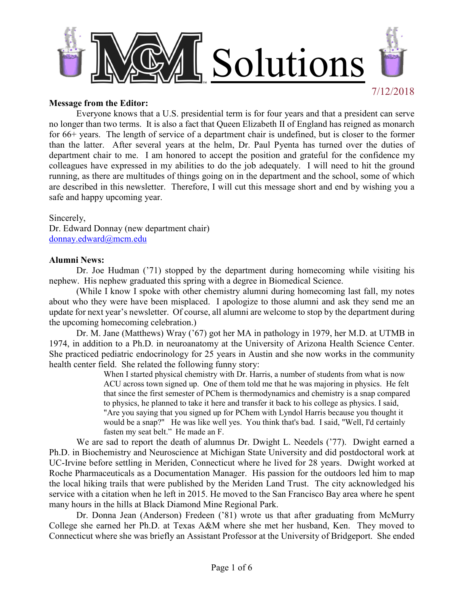

#### **Message from the Editor:**

 Everyone knows that a U.S. presidential term is for four years and that a president can serve no longer than two terms. It is also a fact that Queen Elizabeth II of England has reigned as monarch for 66+ years. The length of service of a department chair is undefined, but is closer to the former than the latter. After several years at the helm, Dr. Paul Pyenta has turned over the duties of department chair to me. I am honored to accept the position and grateful for the confidence my colleagues have expressed in my abilities to do the job adequately. I will need to hit the ground running, as there are multitudes of things going on in the department and the school, some of which are described in this newsletter. Therefore, I will cut this message short and end by wishing you a safe and happy upcoming year.

Sincerely,

Dr. Edward Donnay (new department chair) donnay.edward@mcm.edu

#### **Alumni News:**

Dr. Joe Hudman ('71) stopped by the department during homecoming while visiting his nephew. His nephew graduated this spring with a degree in Biomedical Science.

(While I know I spoke with other chemistry alumni during homecoming last fall, my notes about who they were have been misplaced. I apologize to those alumni and ask they send me an update for next year's newsletter. Of course, all alumni are welcome to stop by the department during the upcoming homecoming celebration.)

Dr. M. Jane (Matthews) Wray ('67) got her MA in pathology in 1979, her M.D. at UTMB in 1974, in addition to a Ph.D. in neuroanatomy at the University of Arizona Health Science Center. She practiced pediatric endocrinology for 25 years in Austin and she now works in the community health center field. She related the following funny story:

When I started physical chemistry with Dr. Harris, a number of students from what is now ACU across town signed up. One of them told me that he was majoring in physics. He felt that since the first semester of PChem is thermodynamics and chemistry is a snap compared to physics, he planned to take it here and transfer it back to his college as physics. I said, "Are you saying that you signed up for PChem with Lyndol Harris because you thought it would be a snap?" He was like well yes. You think that's bad. I said, "Well, I'd certainly fasten my seat belt." He made an F.

We are sad to report the death of alumnus Dr. Dwight L. Needels ('77). Dwight earned a Ph.D. in Biochemistry and Neuroscience at Michigan State University and did postdoctoral work at UC-Irvine before settling in Meriden, Connecticut where he lived for 28 years. Dwight worked at Roche Pharmaceuticals as a Documentation Manager. His passion for the outdoors led him to map the local hiking trails that were published by the Meriden Land Trust. The city acknowledged his service with a citation when he left in 2015. He moved to the San Francisco Bay area where he spent many hours in the hills at Black Diamond Mine Regional Park.

Dr. Donna Jean (Anderson) Fredeen ('81) wrote us that after graduating from McMurry College she earned her Ph.D. at Texas A&M where she met her husband, Ken. They moved to Connecticut where she was briefly an Assistant Professor at the University of Bridgeport. She ended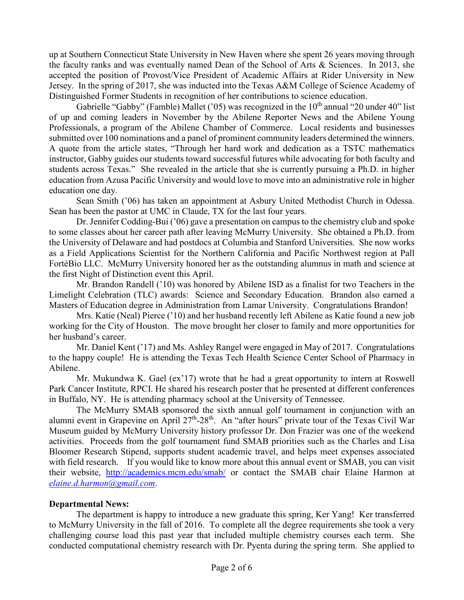up at Southern Connecticut State University in New Haven where she spent 26 years moving through the faculty ranks and was eventually named Dean of the School of Arts & Sciences. In 2013, she accepted the position of Provost/Vice President of Academic Affairs at Rider University in New Jersey. In the spring of 2017, she was inducted into the Texas A&M College of Science Academy of Distinguished Former Students in recognition of her contributions to science education.

Gabrielle "Gabby" (Famble) Mallet ('05) was recognized in the  $10<sup>th</sup>$  annual "20 under 40" list of up and coming leaders in November by the Abilene Reporter News and the Abilene Young Professionals, a program of the Abilene Chamber of Commerce. Local residents and businesses submitted over 100 nominations and a panel of prominent community leaders determined the winners. A quote from the article states, "Through her hard work and dedication as a TSTC mathematics instructor, Gabby guides our students toward successful futures while advocating for both faculty and students across Texas." She revealed in the article that she is currently pursuing a Ph.D. in higher education from Azusa Pacific University and would love to move into an administrative role in higher education one day.

Sean Smith ('06) has taken an appointment at Asbury United Methodist Church in Odessa. Sean has been the pastor at UMC in Claude, TX for the last four years.

Dr. Jennifer Codding-Bui ('06) gave a presentation on campus to the chemistry club and spoke to some classes about her career path after leaving McMurry University. She obtained a Ph.D. from the University of Delaware and had postdocs at Columbia and Stanford Universities. She now works as a Field Applications Scientist for the Northern California and Pacific Northwest region at Pall FortéBio LLC. McMurry University honored her as the outstanding alumnus in math and science at the first Night of Distinction event this April.

Mr. Brandon Randell ('10) was honored by Abilene ISD as a finalist for two Teachers in the Limelight Celebration (TLC) awards: Science and Secondary Education. Brandon also earned a Masters of Education degree in Administration from Lamar University. Congratulations Brandon!

Mrs. Katie (Neal) Pierce ('10) and her husband recently left Abilene as Katie found a new job working for the City of Houston. The move brought her closer to family and more opportunities for her husband's career.

Mr. Daniel Kent ('17) and Ms. Ashley Rangel were engaged in May of 2017. Congratulations to the happy couple! He is attending the Texas Tech Health Science Center School of Pharmacy in Abilene.

Mr. Mukundwa K. Gael (ex'17) wrote that he had a great opportunity to intern at Roswell Park Cancer Institute, RPCI. He shared his research poster that he presented at different conferences in Buffalo, NY. He is attending pharmacy school at the University of Tennessee.

The McMurry SMAB sponsored the sixth annual golf tournament in conjunction with an alumni event in Grapevine on April 27<sup>th</sup>-28<sup>th</sup>. An "after hours" private tour of the Texas Civil War Museum guided by McMurry University history professor Dr. Don Frazier was one of the weekend activities. Proceeds from the golf tournament fund SMAB priorities such as the Charles and Lisa Bloomer Research Stipend, supports student academic travel, and helps meet expenses associated with field research. If you would like to know more about this annual event or SMAB, you can visit their website, http://academics.mcm.edu/smab/ or contact the SMAB chair Elaine Harmon at *elaine.d.harmon@gmail.com*.

### **Departmental News:**

 The department is happy to introduce a new graduate this spring, Ker Yang! Ker transferred to McMurry University in the fall of 2016. To complete all the degree requirements she took a very challenging course load this past year that included multiple chemistry courses each term. She conducted computational chemistry research with Dr. Pyenta during the spring term. She applied to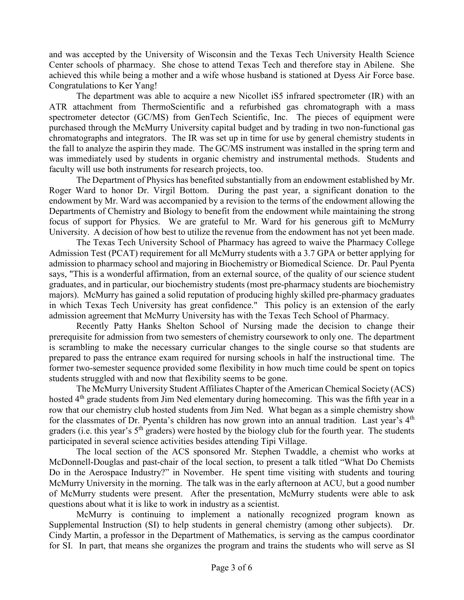and was accepted by the University of Wisconsin and the Texas Tech University Health Science Center schools of pharmacy. She chose to attend Texas Tech and therefore stay in Abilene. She achieved this while being a mother and a wife whose husband is stationed at Dyess Air Force base. Congratulations to Ker Yang!

The department was able to acquire a new Nicollet iS5 infrared spectrometer (IR) with an ATR attachment from ThermoScientific and a refurbished gas chromatograph with a mass spectrometer detector (GC/MS) from GenTech Scientific, Inc. The pieces of equipment were purchased through the McMurry University capital budget and by trading in two non-functional gas chromatographs and integrators. The IR was set up in time for use by general chemistry students in the fall to analyze the aspirin they made. The GC/MS instrument was installed in the spring term and was immediately used by students in organic chemistry and instrumental methods. Students and faculty will use both instruments for research projects, too.

The Department of Physics has benefited substantially from an endowment established by Mr. Roger Ward to honor Dr. Virgil Bottom. During the past year, a significant donation to the endowment by Mr. Ward was accompanied by a revision to the terms of the endowment allowing the Departments of Chemistry and Biology to benefit from the endowment while maintaining the strong focus of support for Physics. We are grateful to Mr. Ward for his generous gift to McMurry University. A decision of how best to utilize the revenue from the endowment has not yet been made.

The Texas Tech University School of Pharmacy has agreed to waive the Pharmacy College Admission Test (PCAT) requirement for all McMurry students with a 3.7 GPA or better applying for admission to pharmacy school and majoring in Biochemistry or Biomedical Science. Dr. Paul Pyenta says, "This is a wonderful affirmation, from an external source, of the quality of our science student graduates, and in particular, our biochemistry students (most pre-pharmacy students are biochemistry majors). McMurry has gained a solid reputation of producing highly skilled pre-pharmacy graduates in which Texas Tech University has great confidence." This policy is an extension of the early admission agreement that McMurry University has with the Texas Tech School of Pharmacy.

Recently Patty Hanks Shelton School of Nursing made the decision to change their prerequisite for admission from two semesters of chemistry coursework to only one. The department is scrambling to make the necessary curricular changes to the single course so that students are prepared to pass the entrance exam required for nursing schools in half the instructional time. The former two-semester sequence provided some flexibility in how much time could be spent on topics students struggled with and now that flexibility seems to be gone.

The McMurry University Student Affiliates Chapter of the American Chemical Society (ACS) hosted 4<sup>th</sup> grade students from Jim Ned elementary during homecoming. This was the fifth year in a row that our chemistry club hosted students from Jim Ned. What began as a simple chemistry show for the classmates of Dr. Pyenta's children has now grown into an annual tradition. Last year's  $4<sup>th</sup>$ graders (i.e. this year's 5<sup>th</sup> graders) were hosted by the biology club for the fourth year. The students participated in several science activities besides attending Tipi Village.

The local section of the ACS sponsored Mr. Stephen Twaddle, a chemist who works at McDonnell-Douglas and past-chair of the local section, to present a talk titled "What Do Chemists Do in the Aerospace Industry?" in November. He spent time visiting with students and touring McMurry University in the morning. The talk was in the early afternoon at ACU, but a good number of McMurry students were present. After the presentation, McMurry students were able to ask questions about what it is like to work in industry as a scientist.

McMurry is continuing to implement a nationally recognized program known as Supplemental Instruction (SI) to help students in general chemistry (among other subjects). Dr. Cindy Martin, a professor in the Department of Mathematics, is serving as the campus coordinator for SI. In part, that means she organizes the program and trains the students who will serve as SI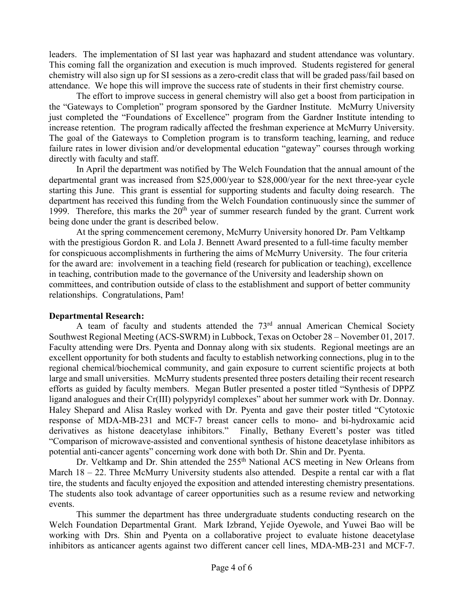leaders. The implementation of SI last year was haphazard and student attendance was voluntary. This coming fall the organization and execution is much improved. Students registered for general chemistry will also sign up for SI sessions as a zero-credit class that will be graded pass/fail based on attendance. We hope this will improve the success rate of students in their first chemistry course.

The effort to improve success in general chemistry will also get a boost from participation in the "Gateways to Completion" program sponsored by the Gardner Institute. McMurry University just completed the "Foundations of Excellence" program from the Gardner Institute intending to increase retention. The program radically affected the freshman experience at McMurry University. The goal of the Gateways to Completion program is to transform teaching, learning, and reduce failure rates in lower division and/or developmental education "gateway" courses through working directly with faculty and staff.

In April the department was notified by The Welch Foundation that the annual amount of the departmental grant was increased from \$25,000/year to \$28,000/year for the next three-year cycle starting this June. This grant is essential for supporting students and faculty doing research. The department has received this funding from the Welch Foundation continuously since the summer of 1999. Therefore, this marks the  $20<sup>th</sup>$  year of summer research funded by the grant. Current work being done under the grant is described below.

At the spring commencement ceremony, McMurry University honored Dr. Pam Veltkamp with the prestigious Gordon R. and Lola J. Bennett Award presented to a full-time faculty member for conspicuous accomplishments in furthering the aims of McMurry University. The four criteria for the award are: involvement in a teaching field (research for publication or teaching), excellence in teaching, contribution made to the governance of the University and leadership shown on committees, and contribution outside of class to the establishment and support of better community relationships. Congratulations, Pam!

### **Departmental Research:**

A team of faculty and students attended the  $73<sup>rd</sup>$  annual American Chemical Society Southwest Regional Meeting (ACS-SWRM) in Lubbock, Texas on October 28 – November 01, 2017. Faculty attending were Drs. Pyenta and Donnay along with six students. Regional meetings are an excellent opportunity for both students and faculty to establish networking connections, plug in to the regional chemical/biochemical community, and gain exposure to current scientific projects at both large and small universities. McMurry students presented three posters detailing their recent research efforts as guided by faculty members. Megan Butler presented a poster titled "Synthesis of DPPZ ligand analogues and their Cr(III) polypyridyl complexes" about her summer work with Dr. Donnay. Haley Shepard and Alisa Rasley worked with Dr. Pyenta and gave their poster titled "Cytotoxic response of MDA-MB-231 and MCF-7 breast cancer cells to mono- and bi-hydroxamic acid derivatives as histone deacetylase inhibitors." Finally, Bethany Everett's poster was titled "Comparison of microwave-assisted and conventional synthesis of histone deacetylase inhibitors as potential anti-cancer agents" concerning work done with both Dr. Shin and Dr. Pyenta.

Dr. Veltkamp and Dr. Shin attended the 255<sup>th</sup> National ACS meeting in New Orleans from March 18 – 22. Three McMurry University students also attended. Despite a rental car with a flat tire, the students and faculty enjoyed the exposition and attended interesting chemistry presentations. The students also took advantage of career opportunities such as a resume review and networking events.

This summer the department has three undergraduate students conducting research on the Welch Foundation Departmental Grant. Mark Izbrand, Yejide Oyewole, and Yuwei Bao will be working with Drs. Shin and Pyenta on a collaborative project to evaluate histone deacetylase inhibitors as anticancer agents against two different cancer cell lines, MDA-MB-231 and MCF-7.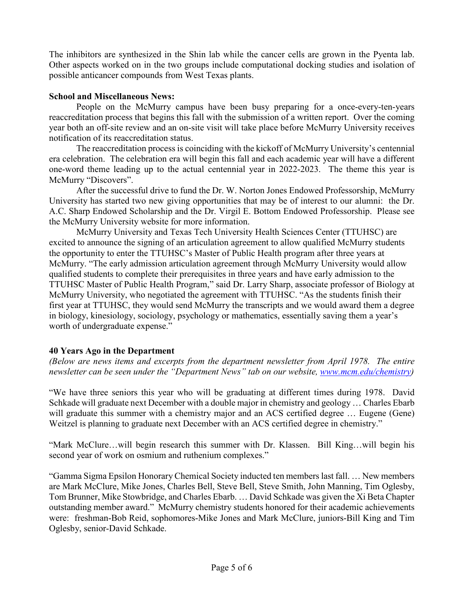The inhibitors are synthesized in the Shin lab while the cancer cells are grown in the Pyenta lab. Other aspects worked on in the two groups include computational docking studies and isolation of possible anticancer compounds from West Texas plants.

## **School and Miscellaneous News:**

 People on the McMurry campus have been busy preparing for a once-every-ten-years reaccreditation process that begins this fall with the submission of a written report. Over the coming year both an off-site review and an on-site visit will take place before McMurry University receives notification of its reaccreditation status.

 The reaccreditation process is coinciding with the kickoff of McMurry University's centennial era celebration. The celebration era will begin this fall and each academic year will have a different one-word theme leading up to the actual centennial year in 2022-2023. The theme this year is McMurry "Discovers".

 After the successful drive to fund the Dr. W. Norton Jones Endowed Professorship, McMurry University has started two new giving opportunities that may be of interest to our alumni: the Dr. A.C. Sharp Endowed Scholarship and the Dr. Virgil E. Bottom Endowed Professorship. Please see the McMurry University website for more information.

McMurry University and Texas Tech University Health Sciences Center (TTUHSC) are excited to announce the signing of an articulation agreement to allow qualified McMurry students the opportunity to enter the TTUHSC's Master of Public Health program after three years at McMurry. "The early admission articulation agreement through McMurry University would allow qualified students to complete their prerequisites in three years and have early admission to the TTUHSC Master of Public Health Program," said Dr. Larry Sharp, associate professor of Biology at McMurry University, who negotiated the agreement with TTUHSC. "As the students finish their first year at TTUHSC, they would send McMurry the transcripts and we would award them a degree in biology, kinesiology, sociology, psychology or mathematics, essentially saving them a year's worth of undergraduate expense."

# **40 Years Ago in the Department**

*(Below are news items and excerpts from the department newsletter from April 1978. The entire newsletter can be seen under the "Department News" tab on our website, www.mcm.edu/chemistry)* 

"We have three seniors this year who will be graduating at different times during 1978. David Schkade will graduate next December with a double major in chemistry and geology … Charles Ebarb will graduate this summer with a chemistry major and an ACS certified degree ... Eugene (Gene) Weitzel is planning to graduate next December with an ACS certified degree in chemistry."

"Mark McClure…will begin research this summer with Dr. Klassen. Bill King…will begin his second year of work on osmium and ruthenium complexes."

"Gamma Sigma Epsilon Honorary Chemical Society inducted ten members last fall. … New members are Mark McClure, Mike Jones, Charles Bell, Steve Bell, Steve Smith, John Manning, Tim Oglesby, Tom Brunner, Mike Stowbridge, and Charles Ebarb. … David Schkade was given the Xi Beta Chapter outstanding member award." McMurry chemistry students honored for their academic achievements were: freshman-Bob Reid, sophomores-Mike Jones and Mark McClure, juniors-Bill King and Tim Oglesby, senior-David Schkade.